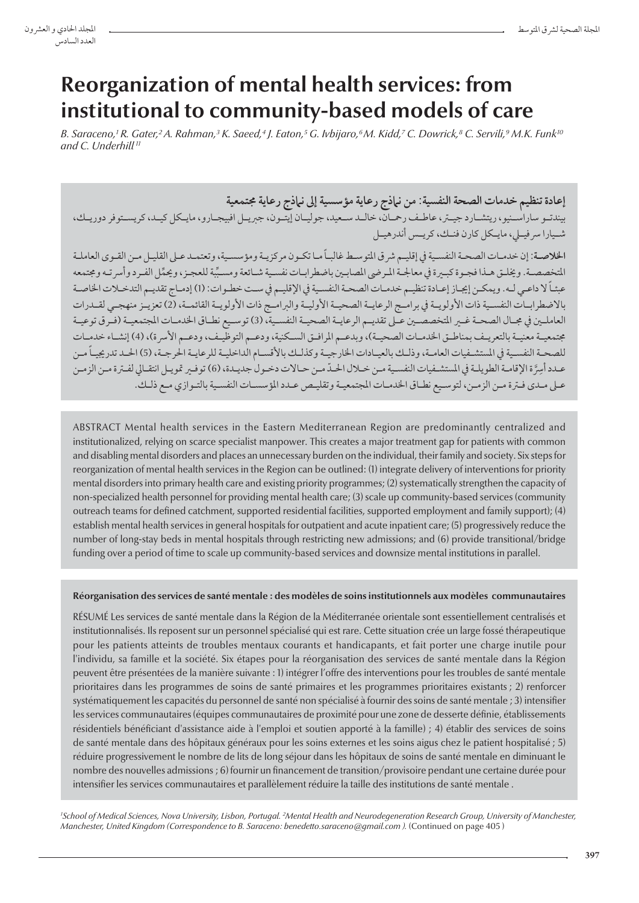# **Reorganization of mental health services: from institutional to community-based models of care**

B. Saraceno,<sup>1</sup> R. Gater,<sup>2</sup> A. Rahman,<sup>3</sup> K. Saeed,<sup>4</sup> J. Eaton,<sup>5</sup> G. Ivbijaro,6 M. Kidd,<sup>7</sup> C. Dowrick,8 C. Servili,9 M.K. Funk<sup>16</sup> *and C. Underhill 11*

**إعادة تنظيم خدمات الصحة النفسية: من نماذج رعايةمؤسسية إلى نماذج رعاية مجتمعية** بيندتــو ساراســنيو، ريتشــارد جيــتر، عاطـف رحمــان، خالــد ســعيد، جوليــان إيتــون، جبريــل افبيجــارو، مايــكل كيــد، كريســتوفر دوريــك، شــيارا سرفيــلي،مايــكل كارن فنــك،كريــس أندرهيــل الخلاصـة: إن خدمـات الصحـة النفسـية في إقليـم شرق المتوسـط غالبـاً مـا تكـون مركزيـة ومؤسسـية، وتعتمـد عـلى القليـل مـن القـوى العاملـة

المتخصصـة. ويخلـق هـذا فجـوة كبـيرة في معالجـة المـرضى المصابـين باضطرابـات نفسـية شـائعة ومسـبّبة للعجـز، ويحمّل الفـرد وأسرتـه ومجتمعه عبئـاً لا داعـي لـه. ويمكـن إيجـاز إعـادة تنظيـم خدمـات الصحـة النفسـية في الإقليـم في سـت خطـوات: (1) إدمـاج تقديـم التدخـلات الخاصـة بالاضطرابــات النفســيةذات الأولويــة في برامــج الرعايــة الصحيــة الأوليــة والبرامــج ذات الأولويــة القائمــة، (2) تعزيــزمنهجــي لقــدرات العاملــين في مجــال الصحــة غــير المتخصصــين عــلى تقديــم الرعايــة الصحيــة النفســية، (3) توســيع نطــاق الخدمــات المجتمعيــة (فــرق توعيــة مجتمعيــةمعنيــةبالتعريــف بمناطــق الخدمــات الصحيــة)، وبدعــم المرافــق الســكنية، ودعــم التوظيــف، ودعــم الأسرة)، (4) إنشــاء خدمــات للصحـة النفسـية في المستشـفيات العامـة، وذلـك بالعيـادات الخارجيـة وكذلـك بالأقسـام الداخليـة للرعايـة الحرجـة، (5) الحـد تدريجيـاً مـن عـدد أسِرَّة الإقامـة الطويلـة في المستشـفيات النفسـية مـن خـلال الحـدّ مـن حـالات دخـول جديـدة، (6) توفـير تمويـل انتقـالي لفـترة مـن الزمـن عـلى مـدي فـترة مـن الزمـن، لتوسـيع نطـاق الخدمـات المجتمعيـة وتقليـص عـدد المؤسسـات النفسـية بالتـوازي مـع ذلـك.

ABSTRACT Mental health services in the Eastern Mediterranean Region are predominantly centralized and institutionalized, relying on scarce specialist manpower. This creates a major treatment gap for patients with common and disabling mental disorders and places an unnecessary burden on the individual, their family and society. Six steps for reorganization of mental health services in the Region can be outlined: (1) integrate delivery of interventions for priority mental disorders into primary health care and existing priority programmes; (2) systematically strengthen the capacity of non-specialized health personnel for providing mental health care; (3) scale up community-based services (community outreach teams for defined catchment, supported residential facilities, supported employment and family support); (4) establish mental health services in general hospitals for outpatient and acute inpatient care; (5) progressively reduce the number of long-stay beds in mental hospitals through restricting new admissions; and (6) provide transitional/bridge funding over a period of time to scale up community-based services and downsize mental institutions in parallel.

#### **Réorganisation des services de santé mentale : des modèles de soins institutionnels aux modèles communautaires**

RÉSUMÉ Les services de santé mentale dans la Région de la Méditerranée orientale sont essentiellement centralisés et institutionnalisés. Ils reposent sur un personnel spécialisé qui est rare. Cette situation crée un large fossé thérapeutique pour les patients atteints de troubles mentaux courants et handicapants, et fait porter une charge inutile pour l'individu, sa famille et la société. Six étapes pour la réorganisation des services de santé mentale dans la Région peuvent être présentées de la manière suivante : 1) intégrer l'offre des interventions pour les troubles de santé mentale prioritaires dans les programmes de soins de santé primaires et les programmes prioritaires existants ; 2) renforcer systématiquement les capacités du personnel de santé non spécialisé à fournir des soins de santé mentale ; 3) intensifier les services communautaires (équipes communautaires de proximité pour une zone de desserte définie, établissements résidentiels bénéficiant d'assistance aide à l'emploi et soutien apporté à la famille) ; 4) établir des services de soins de santé mentale dans des hôpitaux généraux pour les soins externes et les soins aigus chez le patient hospitalisé ; 5) réduire progressivement le nombre de lits de long séjour dans les hôpitaux de soins de santé mentale en diminuant le nombre des nouvelles admissions ; 6) fournir un financement de transition/provisoire pendant une certaine durée pour intensifier les services communautaires et parallèlement réduire la taille des institutions de santé mentale .

*1 School of Medical Sciences, Nova University, Lisbon, Portugal. 2 Mental Health and Neurodegeneration Research Group, University of Manchester, Manchester, United Kingdom (Correspondence to B. Saraceno: benedetto.saraceno@gmail.com ).* (Continued on page 405 )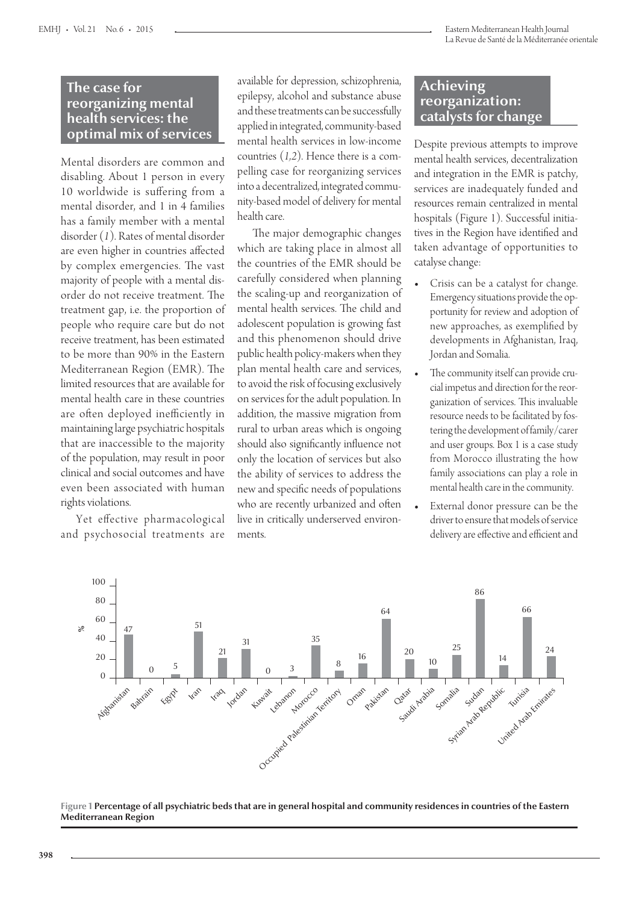# **The case for reorganizing mental health services: the optimal mix of services**

Mental disorders are common and disabling. About 1 person in every 10 worldwide is suffering from a mental disorder, and 1 in 4 families has a family member with a mental disorder (*1*). Rates of mental disorder are even higher in countries affected by complex emergencies. The vast majority of people with a mental disorder do not receive treatment. The treatment gap, i.e. the proportion of people who require care but do not receive treatment, has been estimated to be more than 90% in the Eastern Mediterranean Region (EMR). The limited resources that are available for mental health care in these countries are often deployed inefficiently in maintaining large psychiatric hospitals that are inaccessible to the majority of the population, may result in poor clinical and social outcomes and have even been associated with human rights violations.

Yet effective pharmacological and psychosocial treatments are available for depression, schizophrenia, epilepsy, alcohol and substance abuse and these treatments can be successfully applied in integrated, community-based mental health services in low-income countries (*1,2*). Hence there is a compelling case for reorganizing services into a decentralized, integrated community-based model of delivery for mental health care.

The major demographic changes which are taking place in almost all the countries of the EMR should be carefully considered when planning the scaling-up and reorganization of mental health services. The child and adolescent population is growing fast and this phenomenon should drive public health policy-makers when they plan mental health care and services, to avoid the risk of focusing exclusively on services for the adult population. In addition, the massive migration from rural to urban areas which is ongoing should also significantly influence not only the location of services but also the ability of services to address the new and specific needs of populations who are recently urbanized and often live in critically underserved environments.

# **Achieving reorganization: catalysts for change**

Despite previous attempts to improve mental health services, decentralization and integration in the EMR is patchy, services are inadequately funded and resources remain centralized in mental hospitals (Figure 1). Successful initiatives in the Region have identified and taken advantage of opportunities to catalyse change:

- Crisis can be a catalyst for change. Emergency situations provide the opportunity for review and adoption of new approaches, as exemplified by developments in Afghanistan, Iraq, Jordan and Somalia.
- The community itself can provide crucial impetus and direction for the reorganization of services. This invaluable resource needs to be facilitated by fostering the development of family/carer and user groups. Box 1 is a case study from Morocco illustrating the how family associations can play a role in mental health care in the community.
- External donor pressure can be the driver to ensure that models of service delivery are effective and efficient and



**Figure 1 Percentage of all psychiatric beds that are in general hospital and community residences in countries of the Eastern Mediterranean Region**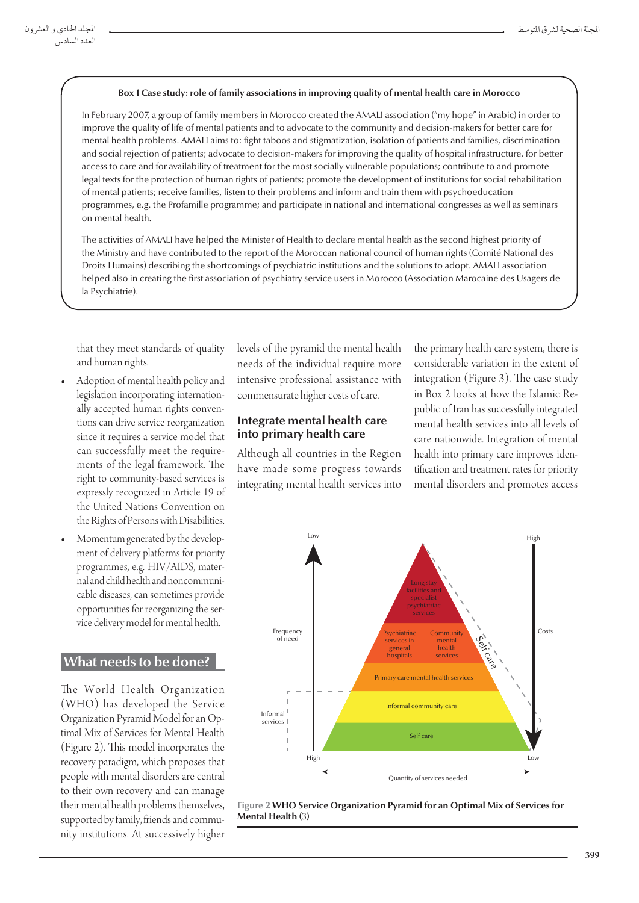#### **Box 1 Case study: role of family associations in improving quality of mental health care in Morocco**

In February 2007, a group of family members in Morocco created the AMALI association ("my hope" in Arabic) in order to improve the quality of life of mental patients and to advocate to the community and decision-makers for better care for mental health problems. AMALI aims to: fight taboos and stigmatization, isolation of patients and families, discrimination and social rejection of patients; advocate to decision-makers for improving the quality of hospital infrastructure, for better access to care and for availability of treatment for the most socially vulnerable populations; contribute to and promote legal texts for the protection of human rights of patients; promote the development of institutions for social rehabilitation of mental patients; receive families, listen to their problems and inform and train them with psychoeducation programmes, e.g. the Profamille programme; and participate in national and international congresses as well as seminars on mental health.

The activities of AMALI have helped the Minister of Health to declare mental health as the second highest priority of the Ministry and have contributed to the report of the Moroccan national council of human rights (Comité National des Droits Humains) describing the shortcomings of psychiatric institutions and the solutions to adopt. AMALI association helped also in creating the first association of psychiatry service users in Morocco (Association Marocaine des Usagers de la Psychiatrie).

that they meet standards of quality and human rights.

- Adoption of mental health policy and legislation incorporating internationally accepted human rights conventions can drive service reorganization since it requires a service model that can successfully meet the requirements of the legal framework. The right to community-based services is expressly recognized in Article 19 of the United Nations Convention on the Rights of Persons with Disabilities.
- Momentum generated by the development of delivery platforms for priority programmes, e.g. HIV/AIDS, maternal and child health and noncommunicable diseases, can sometimes provide opportunities for reorganizing the service delivery model for mental health.

## **What needs to be done?**

The World Health Organization (WHO) has developed the Service Organization Pyramid Model for an Optimal Mix of Services for Mental Health (Figure 2). This model incorporates the recovery paradigm, which proposes that people with mental disorders are central to their own recovery and can manage their mental health problems themselves, supported by family, friends and community institutions. At successively higher levels of the pyramid the mental health needs of the individual require more intensive professional assistance with commensurate higher costs of care.

## **Integrate mental health care into primary health care**

Although all countries in the Region have made some progress towards integrating mental health services into the primary health care system, there is considerable variation in the extent of integration (Figure 3). The case study in Box 2 looks at how the Islamic Republic of Iran has successfully integrated mental health services into all levels of care nationwide. Integration of mental health into primary care improves identification and treatment rates for priority mental disorders and promotes access



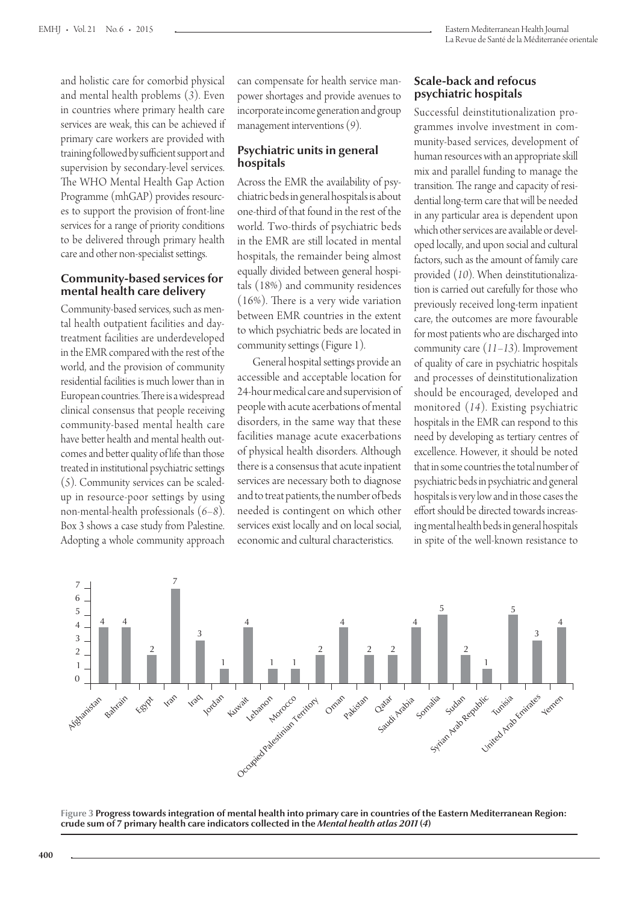and holistic care for comorbid physical and mental health problems (*3*). Even in countries where primary health care services are weak, this can be achieved if primary care workers are provided with training followed by sufficient support and supervision by secondary-level services. The WHO Mental Health Gap Action Programme (mhGAP) provides resources to support the provision of front-line services for a range of priority conditions to be delivered through primary health care and other non-specialist settings.

## **Community-based services for mental health care delivery**

Community-based services, such as mental health outpatient facilities and daytreatment facilities are underdeveloped in the EMR compared with the rest of the world, and the provision of community residential facilities is much lower than in European countries. There is a widespread clinical consensus that people receiving community-based mental health care have better health and mental health outcomes and better quality of life than those treated in institutional psychiatric settings (*5*). Community services can be scaledup in resource-poor settings by using non-mental-health professionals (*6–8*). Box 3 shows a case study from Palestine. Adopting a whole community approach

can compensate for health service manpower shortages and provide avenues to incorporate income generation and group management interventions (*9*).

## **Psychiatric units in general hospitals**

Across the EMR the availability of psychiatric beds in general hospitals is about one-third of that found in the rest of the world. Two-thirds of psychiatric beds in the EMR are still located in mental hospitals, the remainder being almost equally divided between general hospitals (18%) and community residences (16%). There is a very wide variation between EMR countries in the extent to which psychiatric beds are located in community settings (Figure 1).

General hospital settings provide an accessible and acceptable location for 24-hour medical care and supervision of people with acute acerbations of mental disorders, in the same way that these facilities manage acute exacerbations of physical health disorders. Although there is a consensus that acute inpatient services are necessary both to diagnose and to treat patients, the number of beds needed is contingent on which other services exist locally and on local social, economic and cultural characteristics.

# **Scale-back and refocus psychiatric hospitals**

Successful deinstitutionalization programmes involve investment in community-based services, development of human resources with an appropriate skill mix and parallel funding to manage the transition. The range and capacity of residential long-term care that will be needed in any particular area is dependent upon which other services are available or developed locally, and upon social and cultural factors, such as the amount of family care provided (*10*). When deinstitutionalization is carried out carefully for those who previously received long-term inpatient care, the outcomes are more favourable for most patients who are discharged into community care (*11–13*). Improvement of quality of care in psychiatric hospitals and processes of deinstitutionalization should be encouraged, developed and monitored (*14*). Existing psychiatric hospitals in the EMR can respond to this need by developing as tertiary centres of excellence. However, it should be noted that in some countries the total number of psychiatric beds in psychiatric and general hospitals is very low and in those cases the effort should be directed towards increasing mental health beds in general hospitals in spite of the well-known resistance to



**Figure 3 Progress towards integration of mental health into primary care in countries of the Eastern Mediterranean Region: crude sum of 7 primary health care indicators collected in the** *Mental health atlas 2011* **(***4***)**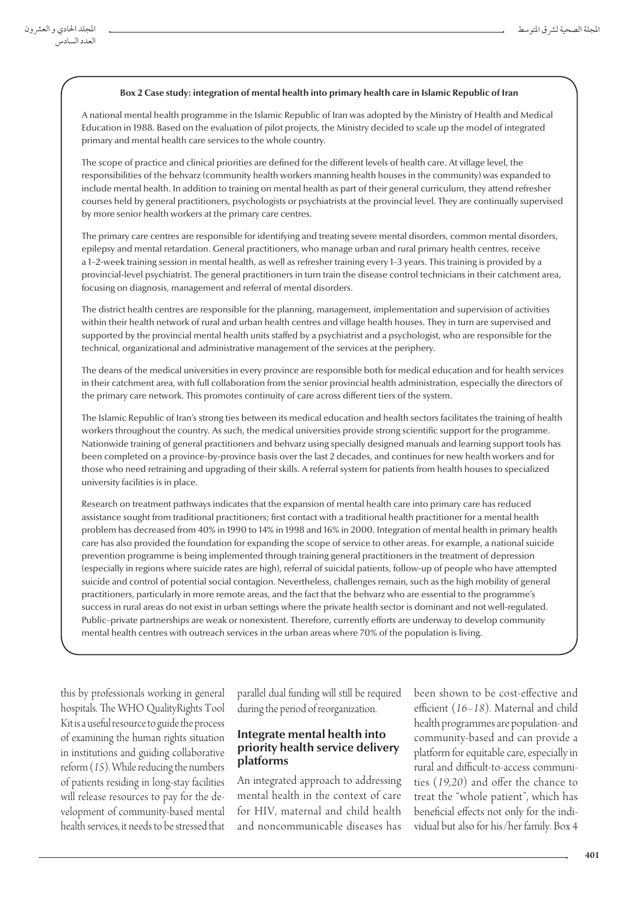#### **Box 2 Case study: integration of mental health into primary health care in Islamic Republic of Iran**

A national mental health programme in the Islamic Republic of Iran was adopted by the Ministry of Health and Medical Education in 1988. Based on the evaluation of pilot projects, the Ministry decided to scale up the model of integrated primary and mental health care services to the whole country.

The scope of practice and clinical priorities are defined for the different levels of health care. At village level, the responsibilities of the behvarz (community health workers manning health houses in the community) was expanded to include mental health. In addition to training on mental health as part of their general curriculum, they attend refresher courses held by general practitioners, psychologists or psychiatrists at the provincial level. They are continually supervised by more senior health workers at the primary care centres.

The primary care centres are responsible for identifying and treating severe mental disorders, common mental disorders, epilepsy and mental retardation. General practitioners, who manage urban and rural primary health centres, receive a 1–2-week training session in mental health, as well as refresher training every 1–3 years. This training is provided by a provincial-level psychiatrist. The general practitioners in turn train the disease control technicians in their catchment area, focusing on diagnosis, management and referral of mental disorders.

The district health centres are responsible for the planning, management, implementation and supervision of activities within their health network of rural and urban health centres and village health houses. They in turn are supervised and supported by the provincial mental health units staffed by a psychiatrist and a psychologist, who are responsible for the technical, organizational and administrative management of the services at the periphery.

The deans of the medical universities in every province are responsible both for medical education and for health services in their catchment area, with full collaboration from the senior provincial health administration, especially the directors of the primary care network. This promotes continuity of care across different tiers of the system.

The Islamic Republic of Iran's strong ties between its medical education and health sectors facilitates the training of health workers throughout the country. As such, the medical universities provide strong scientific support for the programme. Nationwide training of general practitioners and behvarz using specially designed manuals and learning support tools has been completed on a province-by-province basis over the last 2 decades, and continues for new health workers and for those who need retraining and upgrading of their skills. A referral system for patients from health houses to specialized university facilities is in place.

Research on treatment pathways indicates that the expansion of mental health care into primary care has reduced assistance sought from traditional practitioners; first contact with a traditional health practitioner for a mental health problem has decreased from 40% in 1990 to 14% in 1998 and 16% in 2000. Integration of mental health in primary health care has also provided the foundation for expanding the scope of service to other areas. For example, a national suicide prevention programme is being implemented through training general practitioners in the treatment of depression (especially in regions where suicide rates are high), referral of suicidal patients, follow-up of people who have attempted suicide and control of potential social contagion. Nevertheless, challenges remain, such as the high mobility of general practitioners, particularly in more remote areas, and the fact that the behvarz who are essential to the programme's success in rural areas do not exist in urban settings where the private health sector is dominant and not well-regulated. Public–private partnerships are weak or nonexistent. Therefore, currently efforts are underway to develop community mental health centres with outreach services in the urban areas where 70% of the population is living.

this by professionals working in general hospitals. The WHO QualityRights Tool Kit is a useful resource to guide the process of examining the human rights situation in institutions and guiding collaborative reform (*15*). While reducing the numbers of patients residing in long-stay facilities will release resources to pay for the development of community-based mental health services, it needs to be stressed that

parallel dual funding will still be required during the period of reorganization.

## **Integrate mental health into priority health service delivery platforms**

An integrated approach to addressing mental health in the context of care for HIV, maternal and child health and noncommunicable diseases has

been shown to be cost-effective and efficient (*16–18*). Maternal and child health programmes are population- and community-based and can provide a platform for equitable care, especially in rural and difficult-to-access communities (*19,20*) and offer the chance to treat the "whole patient", which has beneficial effects not only for the individual but also for his/her family. Box 4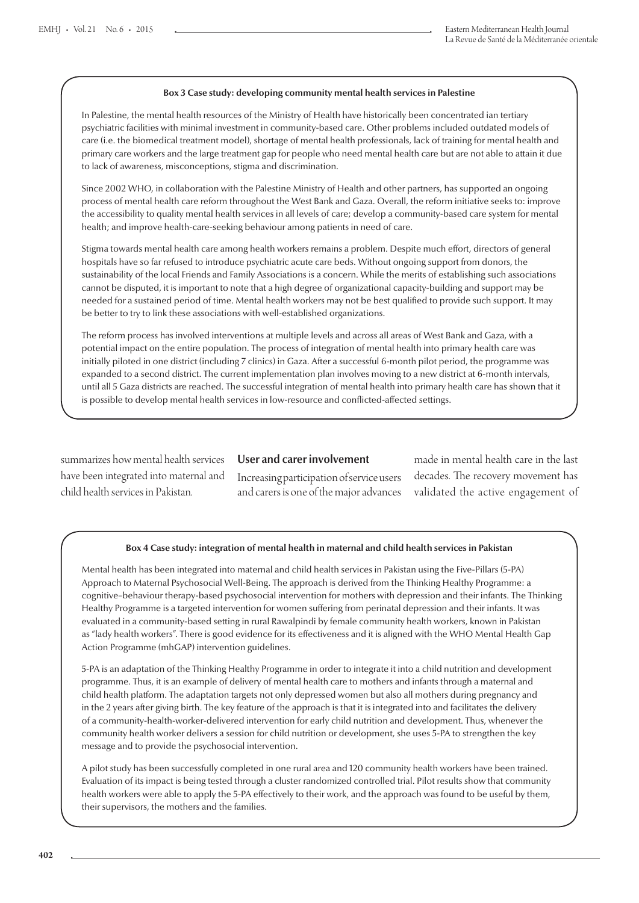#### **Box 3 Case study: developing community mental health services in Palestine**

In Palestine, the mental health resources of the Ministry of Health have historically been concentrated ian tertiary psychiatric facilities with minimal investment in community-based care. Other problems included outdated models of care (i.e. the biomedical treatment model), shortage of mental health professionals, lack of training for mental health and primary care workers and the large treatment gap for people who need mental health care but are not able to attain it due to lack of awareness, misconceptions, stigma and discrimination.

Since 2002 WHO, in collaboration with the Palestine Ministry of Health and other partners, has supported an ongoing process of mental health care reform throughout the West Bank and Gaza. Overall, the reform initiative seeks to: improve the accessibility to quality mental health services in all levels of care; develop a community-based care system for mental health; and improve health-care-seeking behaviour among patients in need of care.

Stigma towards mental health care among health workers remains a problem. Despite much effort, directors of general hospitals have so far refused to introduce psychiatric acute care beds. Without ongoing support from donors, the sustainability of the local Friends and Family Associations is a concern. While the merits of establishing such associations cannot be disputed, it is important to note that a high degree of organizational capacity-building and support may be needed for a sustained period of time. Mental health workers may not be best qualified to provide such support. It may be better to try to link these associations with well-established organizations.

The reform process has involved interventions at multiple levels and across all areas of West Bank and Gaza, with a potential impact on the entire population. The process of integration of mental health into primary health care was initially piloted in one district (including 7 clinics) in Gaza. After a successful 6-month pilot period, the programme was expanded to a second district. The current implementation plan involves moving to a new district at 6-month intervals, until all 5 Gaza districts are reached. The successful integration of mental health into primary health care has shown that it is possible to develop mental health services in low-resource and conflicted-affected settings.

summarizes how mental health services have been integrated into maternal and child health services in Pakistan.

## **User and carer involvement**

Increasing participation of service users and carers is one of the major advances made in mental health care in the last decades. The recovery movement has validated the active engagement of

### **Box 4 Case study: integration of mental health in maternal and child health services in Pakistan**

Mental health has been integrated into maternal and child health services in Pakistan using the Five-Pillars (5-PA) Approach to Maternal Psychosocial Well-Being. The approach is derived from the Thinking Healthy Programme: a cognitive–behaviour therapy-based psychosocial intervention for mothers with depression and their infants. The Thinking Healthy Programme is a targeted intervention for women suffering from perinatal depression and their infants. It was evaluated in a community-based setting in rural Rawalpindi by female community health workers, known in Pakistan as "lady health workers". There is good evidence for its effectiveness and it is aligned with the WHO Mental Health Gap Action Programme (mhGAP) intervention guidelines.

5-PA is an adaptation of the Thinking Healthy Programme in order to integrate it into a child nutrition and development programme. Thus, it is an example of delivery of mental health care to mothers and infants through a maternal and child health platform. The adaptation targets not only depressed women but also all mothers during pregnancy and in the 2 years after giving birth. The key feature of the approach is that it is integrated into and facilitates the delivery of a community-health-worker-delivered intervention for early child nutrition and development. Thus, whenever the community health worker delivers a session for child nutrition or development, she uses 5-PA to strengthen the key message and to provide the psychosocial intervention.

A pilot study has been successfully completed in one rural area and 120 community health workers have been trained. Evaluation of its impact is being tested through a cluster randomized controlled trial. Pilot results show that community health workers were able to apply the 5-PA effectively to their work, and the approach was found to be useful by them, their supervisors, the mothers and the families.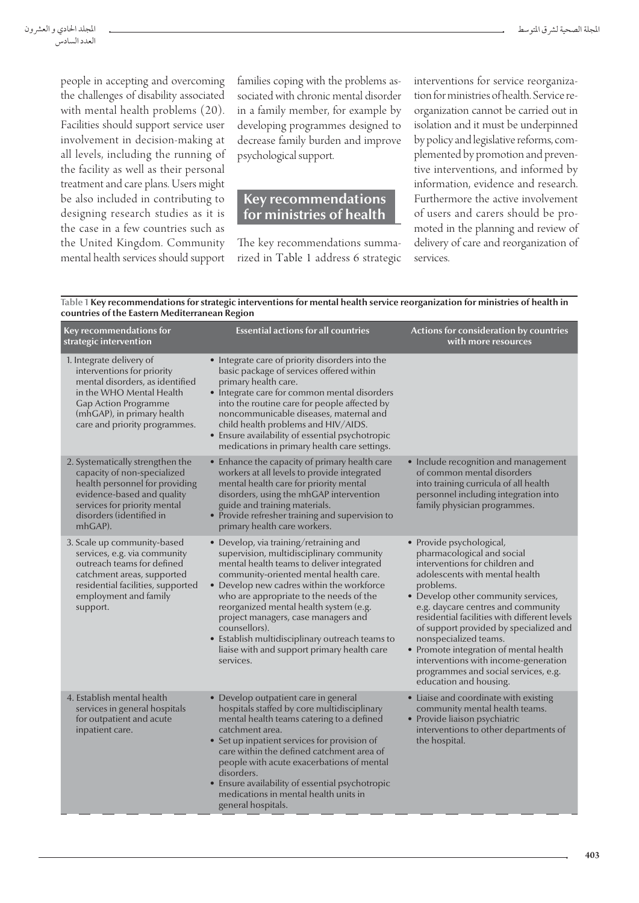people in accepting and overcoming the challenges of disability associated with mental health problems (20). Facilities should support service user involvement in decision-making at all levels, including the running of the facility as well as their personal treatment and care plans. Users might be also included in contributing to designing research studies as it is the case in a few countries such as the United Kingdom. Community mental health services should support

families coping with the problems associated with chronic mental disorder in a family member, for example by developing programmes designed to decrease family burden and improve psychological support.

# **Key recommendations for ministries of health**

The key recommendations summarized in Table 1 address 6 strategic interventions for service reorganization for ministries of health. Service reorganization cannot be carried out in isolation and it must be underpinned by policy and legislative reforms, complemented by promotion and preventive interventions, and informed by information, evidence and research. Furthermore the active involvement of users and carers should be promoted in the planning and review of delivery of care and reorganization of services.

**Table 1 Key recommendations for strategic interventions for mental health service reorganization for ministries of health in countries of the Eastern Mediterranean Region**

| Key recommendations for<br>strategic intervention                                                                                                                                                            | <b>Essential actions for all countries</b>                                                                                                                                                                                                                                                                                                                                                                                                                                         | Actions for consideration by countries<br>with more resources                                                                                                                                                                                                                                                                                                                                                                                                                               |
|--------------------------------------------------------------------------------------------------------------------------------------------------------------------------------------------------------------|------------------------------------------------------------------------------------------------------------------------------------------------------------------------------------------------------------------------------------------------------------------------------------------------------------------------------------------------------------------------------------------------------------------------------------------------------------------------------------|---------------------------------------------------------------------------------------------------------------------------------------------------------------------------------------------------------------------------------------------------------------------------------------------------------------------------------------------------------------------------------------------------------------------------------------------------------------------------------------------|
| 1. Integrate delivery of<br>interventions for priority<br>mental disorders, as identified<br>in the WHO Mental Health<br>Gap Action Programme<br>(mhGAP), in primary health<br>care and priority programmes. | • Integrate care of priority disorders into the<br>basic package of services offered within<br>primary health care.<br>• Integrate care for common mental disorders<br>into the routine care for people affected by<br>noncommunicable diseases, maternal and<br>child health problems and HIV/AIDS.<br>• Ensure availability of essential psychotropic<br>medications in primary health care settings.                                                                            |                                                                                                                                                                                                                                                                                                                                                                                                                                                                                             |
| 2. Systematically strengthen the<br>capacity of non-specialized<br>health personnel for providing<br>evidence-based and quality<br>services for priority mental<br>disorders (identified in<br>mhGAP).       | • Enhance the capacity of primary health care<br>workers at all levels to provide integrated<br>mental health care for priority mental<br>disorders, using the mhGAP intervention<br>guide and training materials.<br>• Provide refresher training and supervision to<br>primary health care workers.                                                                                                                                                                              | • Include recognition and management<br>of common mental disorders<br>into training curricula of all health<br>personnel including integration into<br>family physician programmes.                                                                                                                                                                                                                                                                                                         |
| 3. Scale up community-based<br>services, e.g. via community<br>outreach teams for defined<br>catchment areas, supported<br>residential facilities, supported<br>employment and family<br>support.            | • Develop, via training/retraining and<br>supervision, multidisciplinary community<br>mental health teams to deliver integrated<br>community-oriented mental health care.<br>• Develop new cadres within the workforce<br>who are appropriate to the needs of the<br>reorganized mental health system (e.g.<br>project managers, case managers and<br>counsellors).<br>• Establish multidisciplinary outreach teams to<br>liaise with and support primary health care<br>services. | · Provide psychological,<br>pharmacological and social<br>interventions for children and<br>adolescents with mental health<br>problems.<br>• Develop other community services,<br>e.g. daycare centres and community<br>residential facilities with different levels<br>of support provided by specialized and<br>nonspecialized teams.<br>• Promote integration of mental health<br>interventions with income-generation<br>programmes and social services, e.g.<br>education and housing. |
| 4. Establish mental health<br>services in general hospitals<br>for outpatient and acute<br>inpatient care.                                                                                                   | • Develop outpatient care in general<br>hospitals staffed by core multidisciplinary<br>mental health teams catering to a defined<br>catchment area.<br>• Set up inpatient services for provision of<br>care within the defined catchment area of<br>people with acute exacerbations of mental<br>disorders.<br>• Ensure availability of essential psychotropic<br>medications in mental health units in<br>general hospitals.                                                      | • Liaise and coordinate with existing<br>community mental health teams.<br>• Provide liaison psychiatric<br>interventions to other departments of<br>the hospital.                                                                                                                                                                                                                                                                                                                          |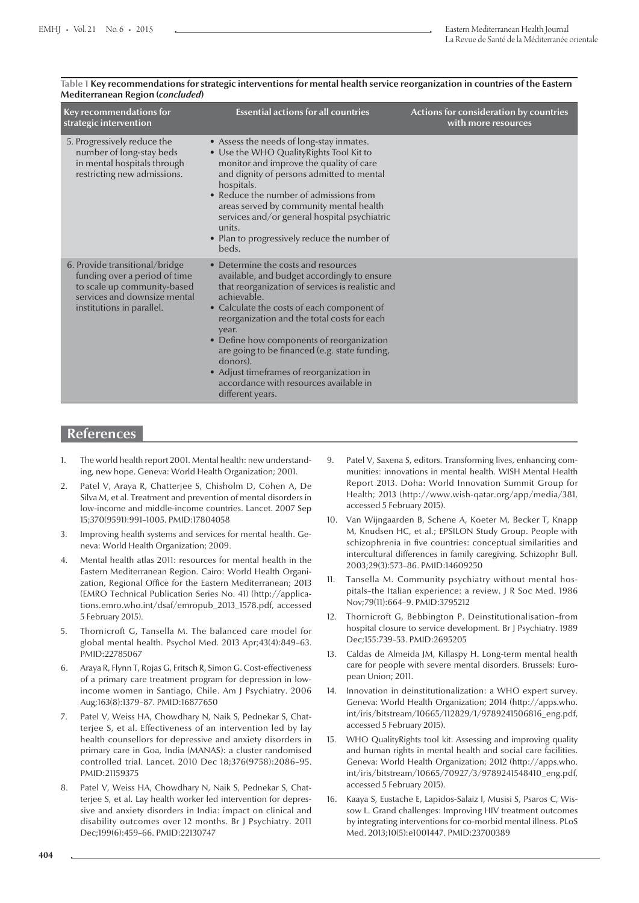| Key recommendations for<br>strategic intervention                                                                                                           | <b>Essential actions for all countries</b>                                                                                                                                                                                                                                                                                                                                                                                                                                      | Actions for consideration by countries<br>with more resources |
|-------------------------------------------------------------------------------------------------------------------------------------------------------------|---------------------------------------------------------------------------------------------------------------------------------------------------------------------------------------------------------------------------------------------------------------------------------------------------------------------------------------------------------------------------------------------------------------------------------------------------------------------------------|---------------------------------------------------------------|
| 5. Progressively reduce the<br>number of long-stay beds<br>in mental hospitals through<br>restricting new admissions.                                       | • Assess the needs of long-stay inmates.<br>• Use the WHO Quality Rights Tool Kit to<br>monitor and improve the quality of care<br>and dignity of persons admitted to mental<br>hospitals.<br>• Reduce the number of admissions from<br>areas served by community mental health<br>services and/or general hospital psychiatric<br>units.<br>• Plan to progressively reduce the number of<br>beds.                                                                              |                                                               |
| 6. Provide transitional/bridge<br>funding over a period of time<br>to scale up community-based<br>services and downsize mental<br>institutions in parallel. | • Determine the costs and resources<br>available, and budget accordingly to ensure<br>that reorganization of services is realistic and<br>achievable.<br>• Calculate the costs of each component of<br>reorganization and the total costs for each<br>year.<br>• Define how components of reorganization<br>are going to be financed (e.g. state funding,<br>donors).<br>• Adjust timeframes of reorganization in<br>accordance with resources available in<br>different years. |                                                               |

**Table 1 Key recommendations for strategic interventions for mental health service reorganization in countries of the Eastern Mediterranean Region (***concluded***)**

## **References**

- The world health report 2001. Mental health: new understanding, new hope. Geneva: World Health Organization; 2001.
- 2. Patel V, Araya R, Chatterjee S, Chisholm D, Cohen A, De Silva M, et al. Treatment and prevention of mental disorders in low-income and middle-income countries. Lancet. 2007 Sep 15;370(9591):991–1005. PMID:17804058
- 3. Improving health systems and services for mental health. Geneva: World Health Organization; 2009.
- 4. Mental health atlas 2011: resources for mental health in the Eastern Mediterranean Region. Cairo: World Health Organization, Regional Office for the Eastern Mediterranean; 2013 (EMRO Technical Publication Series No. 41) (http://applications.emro.who.int/dsaf/emropub\_2013\_1578.pdf, accessed 5 February 2015).
- Thornicroft G, Tansella M. The balanced care model for global mental health. Psychol Med. 2013 Apr;43(4):849–63. PMID:22785067
- 6. Araya R, Flynn T, Rojas G, Fritsch R, Simon G. Cost-effectiveness of a primary care treatment program for depression in lowincome women in Santiago, Chile. Am J Psychiatry. 2006 Aug;163(8):1379–87. PMID:16877650
- 7. Patel V, Weiss HA, Chowdhary N, Naik S, Pednekar S, Chatterjee S, et al. Effectiveness of an intervention led by lay health counsellors for depressive and anxiety disorders in primary care in Goa, India (MANAS): a cluster randomised controlled trial. Lancet. 2010 Dec 18;376(9758):2086–95. PMID:21159375
- 8. Patel V, Weiss HA, Chowdhary N, Naik S, Pednekar S, Chatterjee S, et al. Lay health worker led intervention for depressive and anxiety disorders in India: impact on clinical and disability outcomes over 12 months. Br J Psychiatry. 2011 Dec;199(6):459–66. PMID:22130747
- Patel V, Saxena S, editors. Transforming lives, enhancing communities: innovations in mental health. WISH Mental Health Report 2013. Doha: World Innovation Summit Group for Health; 2013 (http://www.wish-qatar.org/app/media/381, accessed 5 February 2015).
- 10. Van Wijngaarden B, Schene A, Koeter M, Becker T, Knapp M, Knudsen HC, et al.; EPSILON Study Group. People with schizophrenia in five countries: conceptual similarities and intercultural differences in family caregiving. Schizophr Bull. 2003;29(3):573–86. PMID:14609250
- 11. Tansella M. Community psychiatry without mental hospitals–the Italian experience: a review. J R Soc Med. 1986 Nov;79(11):664–9. PMID:3795212
- 12. Thornicroft G, Bebbington P. Deinstitutionalisation–from hospital closure to service development. Br J Psychiatry. 1989 Dec;155:739–53. PMID:2695205
- 13. Caldas de Almeida JM, Killaspy H. Long-term mental health care for people with severe mental disorders. Brussels: European Union; 2011.
- 14. Innovation in deinstitutionalization: a WHO expert survey. Geneva: World Health Organization; 2014 (http://apps.who. int/iris/bitstream/10665/112829/1/9789241506816\_eng.pdf, accessed 5 February 2015).
- 15. WHO QualityRights tool kit. Assessing and improving quality and human rights in mental health and social care facilities. Geneva: World Health Organization; 2012 (http://apps.who. int/iris/bitstream/10665/70927/3/9789241548410\_eng.pdf, accessed 5 February 2015).
- 16. Kaaya S, Eustache E, Lapidos-Salaiz I, Musisi S, Psaros C, Wissow L. Grand challenges: Improving HIV treatment outcomes by integrating interventions for co-morbid mental illness. PLoS Med. 2013;10(5):e1001447. PMID:23700389